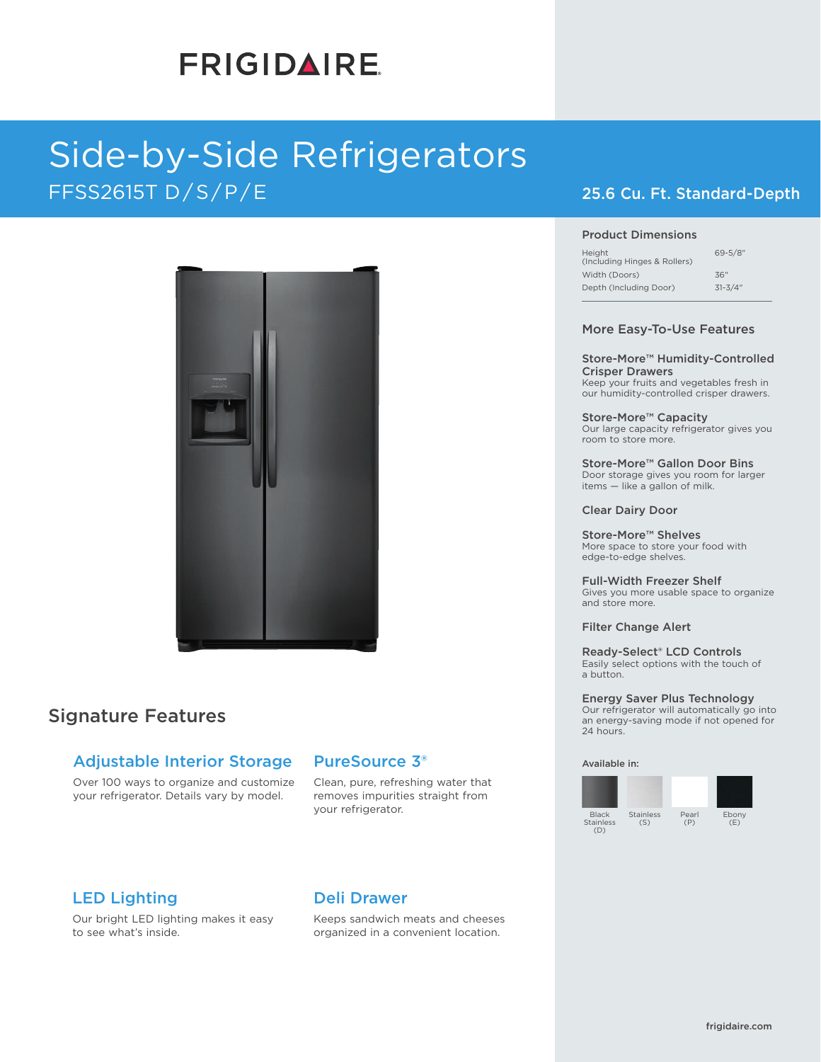# **FRIGIDAIRE**

## Side-by-Side Refrigerators FFSS2615T D/S/P/E 25.6 Cu. Ft. Standard-Depth



## Signature Features

### Adjustable Interior Storage

Over 100 ways to organize and customize your refrigerator. Details vary by model.

### PureSource 3®

Clean, pure, refreshing water that removes impurities straight from your refrigerator.

### LED Lighting

Our bright LED lighting makes it easy to see what's inside.

### Deli Drawer

Keeps sandwich meats and cheeses organized in a convenient location.

#### Product Dimensions

| Height<br>(Including Hinges & Rollers) | $69 - 5/8$ " |
|----------------------------------------|--------------|
| Width (Doors)                          | 36"          |
| Depth (Including Door)                 | $31 - 3/4$ " |

#### More Easy-To-Use Features

Store-More™ Humidity-Controlled Crisper Drawers Keep your fruits and vegetables fresh in our humidity-controlled crisper drawers.

Store-More™ Capacity Our large capacity refrigerator gives you room to store more.

Store-More™ Gallon Door Bins Door storage gives you room for larger items — like a gallon of milk.

#### Clear Dairy Door

Store-More™ Shelves More space to store your food with edge-to-edge shelves.

Full-Width Freezer Shelf Gives you more usable space to organize and store more.

### Filter Change Alert

Ready-Select® LCD Controls Easily select options with the touch of a button.

Energy Saver Plus Technology Our refrigerator will automatically go into an energy-saving mode if not opened for 24 hours.

Pearl (P)

#### Available in:

Black Stainless  $(D)$ Stainless (S)

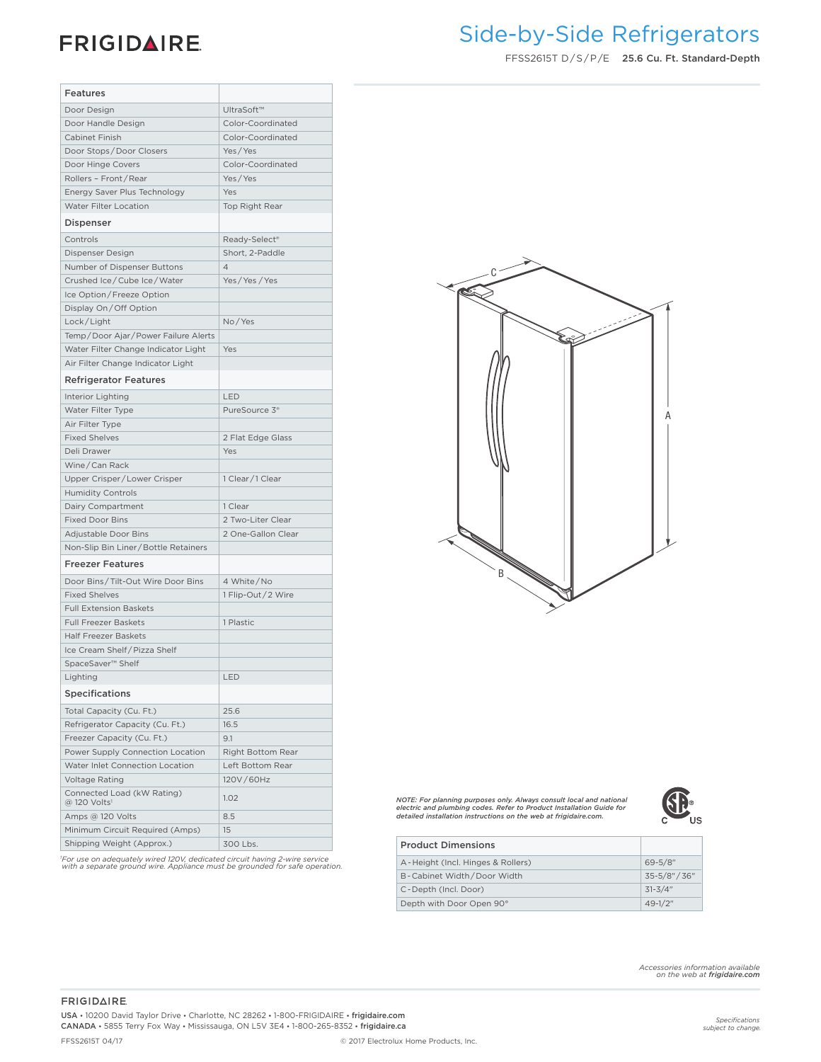## **FRIGIDAIRE**

## Side-by-Side Refrigerators

FFSS2615T D / S / P /E 25.6 Cu. Ft. Standard-Depth

| Features                                               |                           |                                                                                                                                          |
|--------------------------------------------------------|---------------------------|------------------------------------------------------------------------------------------------------------------------------------------|
| Door Design                                            | UltraSoft™                |                                                                                                                                          |
| Door Handle Design                                     | Color-Coordinated         |                                                                                                                                          |
| Cabinet Finish                                         | Color-Coordinated         |                                                                                                                                          |
| Door Stops/Door Closers                                | Yes/Yes                   |                                                                                                                                          |
| Door Hinge Covers                                      | Color-Coordinated         |                                                                                                                                          |
| Rollers - Front/Rear                                   | Yes/Yes                   |                                                                                                                                          |
| Energy Saver Plus Technology                           | Yes                       |                                                                                                                                          |
| Water Filter Location                                  | Top Right Rear            |                                                                                                                                          |
| Dispenser                                              |                           |                                                                                                                                          |
| Controls                                               | Ready-Select <sup>®</sup> |                                                                                                                                          |
| Dispenser Design                                       | Short, 2-Paddle           |                                                                                                                                          |
| Number of Dispenser Buttons                            | $\overline{4}$            |                                                                                                                                          |
| Crushed Ice/Cube Ice/Water                             | Yes/Yes/Yes               |                                                                                                                                          |
| Ice Option/Freeze Option                               |                           |                                                                                                                                          |
| Display On/Off Option                                  |                           |                                                                                                                                          |
| Lock/Light                                             | No/Yes                    |                                                                                                                                          |
| Temp/Door Ajar/Power Failure Alerts                    |                           |                                                                                                                                          |
| Water Filter Change Indicator Light                    | Yes                       |                                                                                                                                          |
|                                                        |                           |                                                                                                                                          |
| Air Filter Change Indicator Light                      |                           |                                                                                                                                          |
| <b>Refrigerator Features</b>                           |                           |                                                                                                                                          |
| Interior Lighting                                      | LED                       |                                                                                                                                          |
| Water Filter Type                                      | PureSource 3 <sup>®</sup> |                                                                                                                                          |
| Air Filter Type                                        |                           |                                                                                                                                          |
| <b>Fixed Shelves</b>                                   | 2 Flat Edge Glass         |                                                                                                                                          |
| Deli Drawer                                            | Yes                       |                                                                                                                                          |
| Wine/Can Rack                                          |                           |                                                                                                                                          |
| Upper Crisper/Lower Crisper                            | 1 Clear/1 Clear           |                                                                                                                                          |
| <b>Humidity Controls</b>                               |                           |                                                                                                                                          |
| Dairy Compartment                                      | 1 Clear                   |                                                                                                                                          |
| <b>Fixed Door Bins</b>                                 | 2 Two-Liter Clear         |                                                                                                                                          |
| Adjustable Door Bins                                   | 2 One-Gallon Clear        |                                                                                                                                          |
| Non-Slip Bin Liner / Bottle Retainers                  |                           |                                                                                                                                          |
| <b>Freezer Features</b>                                |                           |                                                                                                                                          |
| Door Bins/Tilt-Out Wire Door Bins                      | 4 White/No                | $B_{\infty}$                                                                                                                             |
| <b>Fixed Shelves</b>                                   | 1 Flip-Out/2 Wire         |                                                                                                                                          |
| <b>Full Extension Baskets</b>                          |                           |                                                                                                                                          |
| Full Freezer Baskets                                   | 1 Plastic                 |                                                                                                                                          |
| <b>Half Freezer Baskets</b>                            |                           |                                                                                                                                          |
| Ice Cream Shelf / Pizza Shelf                          |                           |                                                                                                                                          |
| SpaceSaver <sup>™</sup> Shelf                          |                           |                                                                                                                                          |
| Lighting                                               | LED                       |                                                                                                                                          |
| <b>Specifications</b>                                  |                           |                                                                                                                                          |
| Total Capacity (Cu. Ft.)                               | 25.6                      |                                                                                                                                          |
| Refrigerator Capacity (Cu. Ft.)                        | 16.5                      |                                                                                                                                          |
| Freezer Capacity (Cu. Ft.)                             | 9.1                       |                                                                                                                                          |
| Power Supply Connection Location                       | Right Bottom Rear         |                                                                                                                                          |
| Water Inlet Connection Location                        | Left Bottom Rear          |                                                                                                                                          |
| <b>Voltage Rating</b>                                  | 120V/60Hz                 |                                                                                                                                          |
| Connected Load (kW Rating)<br>@ 120 Volts <sup>1</sup> | 1.02                      | NOTE: For planning purposes only. Always consult local and national                                                                      |
| Amps @ 120 Volts                                       | 8.5                       | electric and plumbing codes. Refer to Product Installation Guide for<br>detailed installation instructions on the web at frigidaire.com. |
| Minimum Circuit Required (Amps)                        | 15                        |                                                                                                                                          |
| Shipping Weight (Approx.)                              | 300 Lbs.                  | <b>Product Dimensions</b>                                                                                                                |





| <b>Product Dimensions</b>         |               |
|-----------------------------------|---------------|
| A-Height (Incl. Hinges & Rollers) | $69 - 5/8$ "  |
| B-Cabinet Width/Door Width        | 35-5/8" / 36" |
| C-Depth (Incl. Door)              | $31 - 3/4"$   |
| Depth with Door Open 90°          | $49 - 1/2$ "  |

*1 For use on adequately wired 120V, dedicated circuit having 2-wire service with a separate ground wire. Appliance must be grounded for safe operation.*

*Accessories information available on the web at frigidaire.com*

USA • 10200 David Taylor Drive • Charlotte, NC 28262 • 1-800-FRIGIDAIRE • frigidaire.com CANADA • 5855 Terry Fox Way • Mississauga, ON L5V 3E4 • 1-800-265-8352 • frigidaire.ca